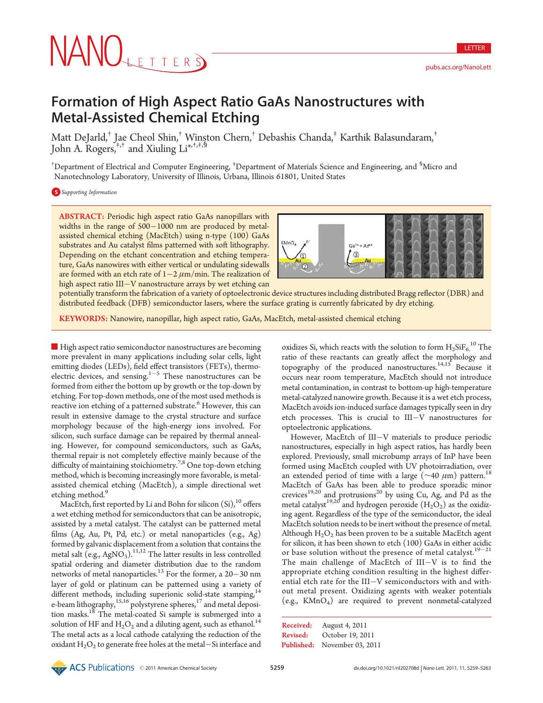# NANOLETTERS

LETTER

## Formation of High Aspect Ratio GaAs Nanostructures with Metal-Assisted Chemical Etching

Matt DeJarld,† Jae Cheol Shin,† Winston Chern,† Debashis Chanda,‡ Karthik Balasundaram,† John A. Rogers, $^{+,+}$  and Xiuling Li $^{*,+,+,\bar{\mathsf{S}}}$ 

<sup>†</sup>Department of Electrical and Computer Engineering, <sup>‡</sup>Department of Materials Science and Engineering, and <sup>§</sup>Micro and Nanotechnology Laboratory, University of Illinois, Urbana, Illinois 61801, United States

**S** Supporting Information

ABSTRACT: Periodic high aspect ratio GaAs nanopillars with widths in the range of  $500-1000$  nm are produced by metalassisted chemical etching (MacEtch) using n-type (100) GaAs substrates and Au catalyst films patterned with soft lithography. Depending on the etchant concentration and etching temperature, GaAs nanowires with either vertical or undulating sidewalls are formed with an etch rate of  $1-2 \mu m/min$ . The realization of high aspect ratio III-V nanostructure arrays by wet etching can



potentially transform the fabrication of a variety of optoelectronic device structures including distributed Bragg reflector (DBR) and distributed feedback (DFB) semiconductor lasers, where the surface grating is currently fabricated by dry etching.

KEYWORDS: Nanowire, nanopillar, high aspect ratio, GaAs, MacEtch, metal-assisted chemical etching

High aspect ratio semiconductor nanostructures are becoming more prevalent in many applications including solar cells, light emitting diodes (LEDs), field effect transistors (FETs), thermoelectric devices, and sensing. $1-5$  These nanostructures can be formed from either the bottom up by growth or the top-down by etching. For top-down methods, one of the most used methods is reactive ion etching of a patterned substrate.<sup>6</sup> However, this can result in extensive damage to the crystal structure and surface morphology because of the high-energy ions involved. For silicon, such surface damage can be repaired by thermal annealing. However, for compound semiconductors, such as GaAs, thermal repair is not completely effective mainly because of the difficulty of maintaining stoichiometry.<sup>7,8</sup> One top-down etching method, which is becoming increasingly more favorable, is metalassisted chemical etching (MacEtch), a simple directional wet etching method.<sup>9</sup>

MacEtch, first reported by Li and Bohn for silicon  $(Si)$ ,<sup>10</sup> offers a wet etching method for semiconductors that can be anisotropic, assisted by a metal catalyst. The catalyst can be patterned metal films (Ag, Au, Pt, Pd, etc.) or metal nanoparticles (e.g., Ag) formed by galvanic displacement from a solution that contains the metal salt  $(e.g., AgNO<sub>3</sub>)$ .<sup>11,12</sup> The latter results in less controlled spatial ordering and diameter distribution due to the random networks of metal nanoparticles.<sup>13</sup> For the former, a 20–30 nm layer of gold or platinum can be patterned using a variety of different methods, including superionic solid-state stamping,<sup>14</sup> e-beam lithography,<sup>15,16</sup> polystyrene spheres,<sup>17</sup> and metal deposition masks.18 The metal-coated Si sample is submerged into a solution of HF and  $H_2O_2$  and a diluting agent, such as ethanol.<sup>14</sup> The metal acts as a local cathode catalyzing the reduction of the oxidant  $\text{H}_{2}\text{O}_{2}$  to generate free holes at the metal $-$ Si interface and

oxidizes Si, which reacts with the solution to form  $\mathrm{H_2SiF_6}^{10}$  The ratio of these reactants can greatly affect the morphology and topography of the produced nanostructures.<sup>14,15</sup> Because it occurs near room temperature, MacEtch should not introduce metal contamination, in contrast to bottom-up high-temperature metal-catalyzed nanowire growth. Because it is a wet etch process, MacEtch avoids ion-induced surface damages typically seen in dry etch processes. This is crucial to III-V nanostructures for optoelectronic applications.

However, MacEtch of III-V materials to produce periodic nanostructures, especially in high aspect ratios, has hardly been explored. Previously, small microbump arrays of InP have been formed using MacEtch coupled with UV photoirradiation, over an extended period of time with a large ( $\sim$ 40  $\mu$ m) pattern.<sup>18</sup> MacEtch of GaAs has been able to produce sporadic minor crevices<sup>19,20</sup> and protrusions<sup>20</sup> by using Cu, Ag, and Pd as the metal catalyst<sup>19,20</sup> and hydrogen peroxide  $(H_2O_2)$  as the oxidizing agent. Regardless of the type of the semiconductor, the ideal MacEtch solution needs to be inert without the presence of metal. Although  $H_2O_2$  has been proven to be a suitable MacEtch agent for silicon, it has been shown to etch (100) GaAs in either acidic or base solution without the presence of metal catalyst.<sup>19-21</sup> The main challenge of MacEtch of III-V is to find the appropriate etching condition resulting in the highest differential etch rate for the III-V semiconductors with and without metal present. Oxidizing agents with weaker potentials (e.g., KMnO4) are required to prevent nonmetal-catalyzed

```
Published: November 03, 2011
Received: August 4, 2011
Revised: October 19, 2011
```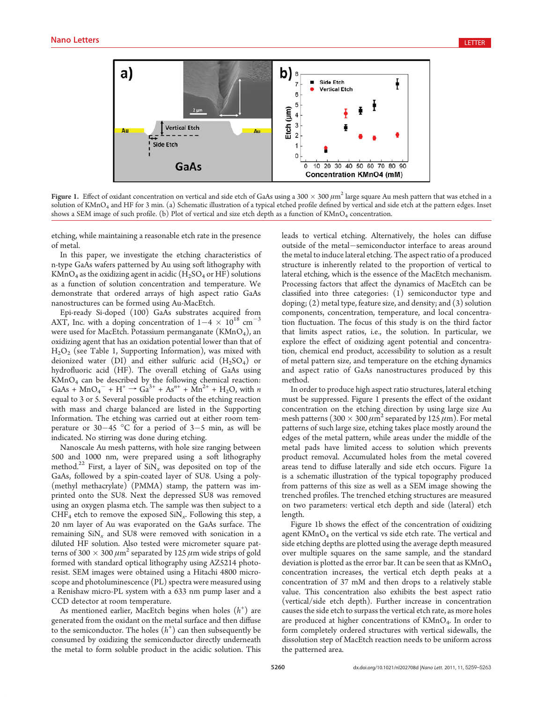

Figure 1. Effect of oxidant concentration on vertical and side etch of GaAs using a 300  $\times$  300  $\mu$ m<sup>2</sup> large square Au mesh pattern that was etched in a solution of KMnO<sub>4</sub> and HF for 3 min. (a) Schematic illustration of a typical etched profile defined by vertical and side etch at the pattern edges. Inset shows a SEM image of such profile. (b) Plot of vertical and size etch depth as a function of  $KMnO_4$  concentration.

etching, while maintaining a reasonable etch rate in the presence of metal.

In this paper, we investigate the etching characteristics of n-type GaAs wafers patterned by Au using soft lithography with KMnO<sub>4</sub> as the oxidizing agent in acidic ( $H_2SO_4$  or HF) solutions as a function of solution concentration and temperature. We demonstrate that ordered arrays of high aspect ratio GaAs nanostructures can be formed using Au-MacEtch.

Epi-ready Si-doped (100) GaAs substrates acquired from AXT, Inc. with a doping concentration of  $1-4 \times 10^{18}$  cm<sup>-3</sup> were used for MacEtch. Potassium permanganate  $(KMnO<sub>4</sub>)$ , an oxidizing agent that has an oxidation potential lower than that of H2O2 (see Table 1, Supporting Information), was mixed with deionized water (DI) and either sulfuric acid  $(H_2SO_4)$  or hydrofluoric acid (HF). The overall etching of GaAs using KMnO4 can be described by the following chemical reaction:  $GaAs + MnO<sub>4</sub><sup>-</sup> + H<sup>+</sup> \rightarrow Ga<sup>3+</sup> + As<sup>n+</sup> + Mn<sup>2+</sup> + H<sub>2</sub>O$ , with *n* equal to 3 or 5. Several possible products of the etching reaction with mass and charge balanced are listed in the Supporting Information. The etching was carried out at either room temperature or  $30-45$  °C for a period of  $3-5$  min, as will be indicated. No stirring was done during etching.

Nanoscale Au mesh patterns, with hole size ranging between 500 and 1000 nm, were prepared using a soft lithography method.<sup>22</sup> First, a layer of  $\sinh x$  was deposited on top of the GaAs, followed by a spin-coated layer of SU8. Using a poly- (methyl methacrylate) (PMMA) stamp, the pattern was imprinted onto the SU8. Next the depressed SU8 was removed using an oxygen plasma etch. The sample was then subject to a CHF<sub>4</sub> etch to remove the exposed  $\text{SiN}_x$ . Following this step, a 20 nm layer of Au was evaporated on the GaAs surface. The remaining  $\sin x$  and SU8 were removed with sonication in a diluted HF solution. Also tested were micrometer square patterns of 300  $\times$  300  $\mu$ m<sup>2</sup> separated by 125  $\mu$ m wide strips of gold formed with standard optical lithography using AZ5214 photoresist. SEM images were obtained using a Hitachi 4800 microscope and photoluminescence (PL) spectra were measured using a Renishaw micro-PL system with a 633 nm pump laser and a CCD detector at room temperature.

As mentioned earlier, MacEtch begins when holes  $(h^+)$  are generated from the oxidant on the metal surface and then diffuse to the semiconductor. The holes  $(h^+)$  can then subsequently be consumed by oxidizing the semiconductor directly underneath the metal to form soluble product in the acidic solution. This

leads to vertical etching. Alternatively, the holes can diffuse outside of the metal-semiconductor interface to areas around the metal to induce lateral etching. The aspect ratio of a produced structure is inherently related to the proportion of vertical to lateral etching, which is the essence of the MacEtch mechanism. Processing factors that affect the dynamics of MacEtch can be classified into three categories: (1) semiconductor type and doping; (2) metal type, feature size, and density; and (3) solution components, concentration, temperature, and local concentration fluctuation. The focus of this study is on the third factor that limits aspect ratios, i.e., the solution. In particular, we explore the effect of oxidizing agent potential and concentration, chemical end product, accessibility to solution as a result of metal pattern size, and temperature on the etching dynamics and aspect ratio of GaAs nanostructures produced by this method.

In order to produce high aspect ratio structures, lateral etching must be suppressed. Figure 1 presents the effect of the oxidant concentration on the etching direction by using large size Au mesh patterns (300  $\times$  300  $\mu$ m<sup>2</sup> separated by 125  $\mu$ m). For metal patterns of such large size, etching takes place mostly around the edges of the metal pattern, while areas under the middle of the metal pads have limited access to solution which prevents product removal. Accumulated holes from the metal covered areas tend to diffuse laterally and side etch occurs. Figure 1a is a schematic illustration of the typical topography produced from patterns of this size as well as a SEM image showing the trenched profiles. The trenched etching structures are measured on two parameters: vertical etch depth and side (lateral) etch length.

Figure 1b shows the effect of the concentration of oxidizing agent KMnO<sub>4</sub> on the vertical vs side etch rate. The vertical and side etching depths are plotted using the average depth measured over multiple squares on the same sample, and the standard deviation is plotted as the error bar. It can be seen that as  $KMnO<sub>4</sub>$ concentration increases, the vertical etch depth peaks at a concentration of 37 mM and then drops to a relatively stable value. This concentration also exhibits the best aspect ratio (vertical/side etch depth). Further increase in concentration causes the side etch to surpass the vertical etch rate, as more holes are produced at higher concentrations of  $KMnO<sub>4</sub>$ . In order to form completely ordered structures with vertical sidewalls, the dissolution step of MacEtch reaction needs to be uniform across the patterned area.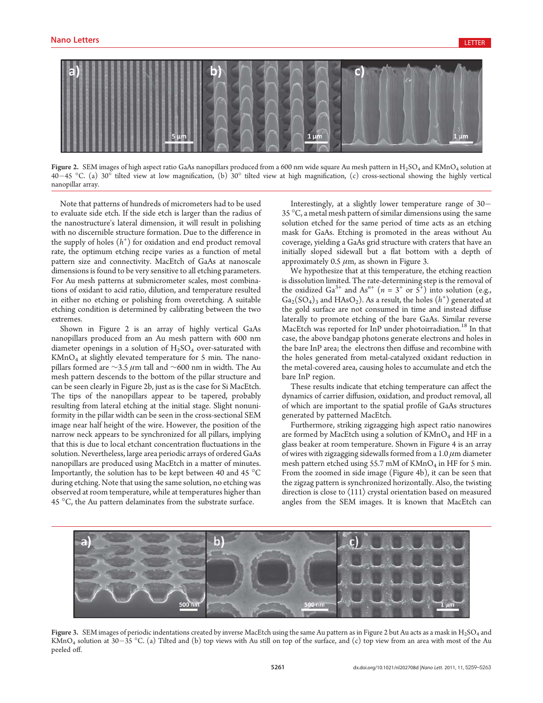

Figure 2. SEM images of high aspect ratio GaAs nanopillars produced from a 600 nm wide square Au mesh pattern in  $H_2SO_4$  and KMnO<sub>4</sub> solution at  $40-45$  °C. (a)  $30^\circ$  tilted view at low magnification, (b)  $30^\circ$  tilted view at high magnification, (c) cross-sectional showing the highly vertical nanopillar array.

Note that patterns of hundreds of micrometers had to be used to evaluate side etch. If the side etch is larger than the radius of the nanostructure's lateral dimension, it will result in polishing with no discernible structure formation. Due to the difference in the supply of holes  $(h<sup>+</sup>)$  for oxidation and end product removal rate, the optimum etching recipe varies as a function of metal pattern size and connectivity. MacEtch of GaAs at nanoscale dimensions is found to be very sensitive to all etching parameters. For Au mesh patterns at submicrometer scales, most combinations of oxidant to acid ratio, dilution, and temperature resulted in either no etching or polishing from overetching. A suitable etching condition is determined by calibrating between the two extremes.

Shown in Figure 2 is an array of highly vertical GaAs nanopillars produced from an Au mesh pattern with 600 nm diameter openings in a solution of  $H_2SO_4$  over-saturated with  $KMnO<sub>4</sub>$  at slightly elevated temperature for 5 min. The nanopillars formed are  $\sim$ 3.5 µm tall and  $\sim$ 600 nm in width. The Au mesh pattern descends to the bottom of the pillar structure and can be seen clearly in Figure 2b, just as is the case for Si MacEtch. The tips of the nanopillars appear to be tapered, probably resulting from lateral etching at the initial stage. Slight nonuniformity in the pillar width can be seen in the cross-sectional SEM image near half height of the wire. However, the position of the narrow neck appears to be synchronized for all pillars, implying that this is due to local etchant concentration fluctuations in the solution. Nevertheless, large area periodic arrays of ordered GaAs nanopillars are produced using MacEtch in a matter of minutes. Importantly, the solution has to be kept between 40 and 45  $^{\circ}\mathrm{C}$ during etching. Note that using the same solution, no etching was observed at room temperature, while at temperatures higher than 45  $^{\circ}$ C, the Au pattern delaminates from the substrate surface.

Interestingly, at a slightly lower temperature range of 30- 35 °C, a metal mesh pattern of similar dimensions using the same solution etched for the same period of time acts as an etching mask for GaAs. Etching is promoted in the areas without Au coverage, yielding a GaAs grid structure with craters that have an initially sloped sidewall but a flat bottom with a depth of approximately 0.5  $\mu$ m, as shown in Figure 3.

We hypothesize that at this temperature, the etching reaction is dissolution limited. The rate-determining step is the removal of the oxidized Ga<sup>3+</sup> and As<sup>n+</sup> ( $n = 3^+$  or  $5^+$ ) into solution (e.g.,  $Ga_2(SO_4)_3$  and  $HAsO_2$ ). As a result, the holes  $(h^+)$  generated at the gold surface are not consumed in time and instead diffuse laterally to promote etching of the bare GaAs. Similar reverse MacEtch was reported for InP under photoirradiation.<sup>18</sup> In that case, the above bandgap photons generate electrons and holes in the bare InP area; the electrons then diffuse and recombine with the holes generated from metal-catalyzed oxidant reduction in the metal-covered area, causing holes to accumulate and etch the bare InP region.

These results indicate that etching temperature can affect the dynamics of carrier diffusion, oxidation, and product removal, all of which are important to the spatial profile of GaAs structures generated by patterned MacEtch.

Furthermore, striking zigzagging high aspect ratio nanowires are formed by MacEtch using a solution of  $KMnO_4$  and HF in a glass beaker at room temperature. Shown in Figure 4 is an array of wires with zigzagging sidewalls formed from a  $1.0 \mu$ m diameter mesh pattern etched using  $55.7$  mM of  $KMnO<sub>4</sub>$  in HF for 5 min. From the zoomed in side image (Figure 4b), it can be seen that the zigzag pattern is synchronized horizontally. Also, the twisting direction is close to  $\langle 111 \rangle$  crystal orientation based on measured angles from the SEM images. It is known that MacEtch can



Figure 3. SEM images of periodic indentations created by inverse MacEtch using the same Au pattern as in Figure 2 but Au acts as a mask in H<sub>2</sub>SO<sub>4</sub> and  $KMnO_4$  solution at 30–35 °C. (a) Tilted and (b) top views with Au still on top of the surface, and (c) top view from an area with most of the Au peeled off.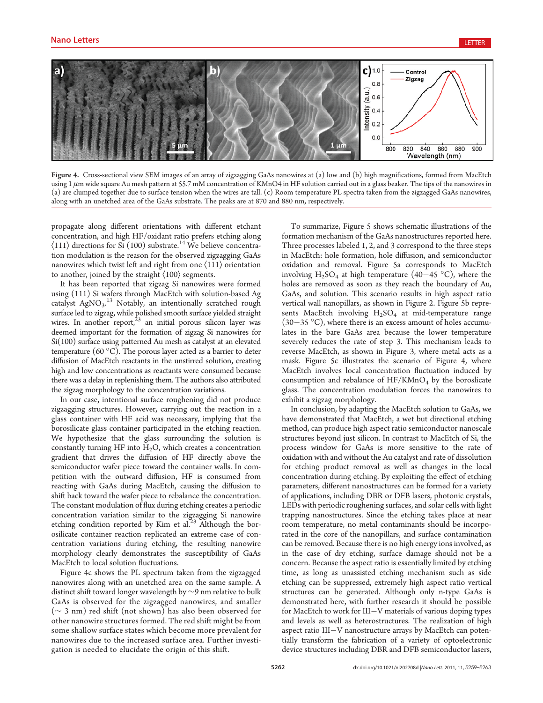

Figure 4. Cross-sectional view SEM images of an array of zigzagging GaAs nanowires at (a) low and (b) high magnifications, formed from MacEtch using  $1 \mu$ m wide square Au mesh pattern at 55.7 mM concentration of KMnO4 in HF solution carried out in a glass beaker. The tips of the nanowires in (a) are clumped together due to surface tension when the wires are tall. (c) Room temperature PL spectra taken from the zigzagged GaAs nanowires, along with an unetched area of the GaAs substrate. The peaks are at 870 and 880 nm, respectively.

propagate along different orientations with different etchant concentration, and high HF/oxidant ratio prefers etching along  $\langle 111 \rangle$  directions for Si (100) substrate.<sup>14</sup> We believe concentration modulation is the reason for the observed zigzagging GaAs nanowires which twist left and right from one  $\langle 111 \rangle$  orientation to another, joined by the straight  $\langle 100 \rangle$  segments.

It has been reported that zigzag Si nanowires were formed using (111) Si wafers through MacEtch with solution-based Ag catalyst AgNO<sub>3</sub>.<sup>13</sup> Notably, an intentionally scratched rough surface led to zigzag, while polished smooth surface yielded straight wires. In another report, $23$  an initial porous silicon layer was deemed important for the formation of zigzag Si nanowires for Si(100) surface using patterned Au mesh as catalyst at an elevated temperature (60  $^{\circ}$ C). The porous layer acted as a barrier to deter diffusion of MacEtch reactants in the unstirred solution, creating high and low concentrations as reactants were consumed because there was a delay in replenishing them. The authors also attributed the zigzag morphology to the concentration variations.

In our case, intentional surface roughening did not produce zigzagging structures. However, carrying out the reaction in a glass container with HF acid was necessary, implying that the borosilicate glass container participated in the etching reaction. We hypothesize that the glass surrounding the solution is constantly turning HF into  $H_2O$ , which creates a concentration gradient that drives the diffusion of HF directly above the semiconductor wafer piece toward the container walls. In competition with the outward diffusion, HF is consumed from reacting with GaAs during MacEtch, causing the diffusion to shift back toward the wafer piece to rebalance the concentration. The constant modulation of flux during etching creates a periodic concentration variation similar to the zigzagging Si nanowire etching condition reported by Kim et al.<sup>23</sup> Although the borosilicate container reaction replicated an extreme case of concentration variations during etching, the resulting nanowire morphology clearly demonstrates the susceptibility of GaAs MacEtch to local solution fluctuations.

Figure 4c shows the PL spectrum taken from the zigzagged nanowires along with an unetched area on the same sample. A distinct shift toward longer wavelength by ∼9 nm relative to bulk GaAs is observed for the zigzagged nanowires, and smaller (∼ 3 nm) red shift (not shown) has also been observed for other nanowire structures formed. The red shift might be from some shallow surface states which become more prevalent for nanowires due to the increased surface area. Further investigation is needed to elucidate the origin of this shift.

To summarize, Figure 5 shows schematic illustrations of the formation mechanism of the GaAs nanostructures reported here. Three processes labeled 1, 2, and 3 correspond to the three steps in MacEtch: hole formation, hole diffusion, and semiconductor oxidation and removal. Figure 5a corresponds to MacEtch involving  $H_2SO_4$  at high temperature (40–45 °C), where the holes are removed as soon as they reach the boundary of Au, GaAs, and solution. This scenario results in high aspect ratio vertical wall nanopillars, as shown in Figure 2. Figure 5b represents MacEtch involving  $H_2SO_4$  at mid-temperature range  $(30-35 \text{ °C})$ , where there is an excess amount of holes accumulates in the bare GaAs area because the lower temperature severely reduces the rate of step 3. This mechanism leads to reverse MacEtch, as shown in Figure 3, where metal acts as a mask. Figure 5c illustrates the scenario of Figure 4, where MacEtch involves local concentration fluctuation induced by consumption and rebalance of  $HF/KMnO_4$  by the boroslicate glass. The concentration modulation forces the nanowires to exhibit a zigzag morphology.

In conclusion, by adapting the MacEtch solution to GaAs, we have demonstrated that MacEtch, a wet but directional etching method, can produce high aspect ratio semiconductor nanoscale structures beyond just silicon. In contrast to MacEtch of Si, the process window for GaAs is more sensitive to the rate of oxidation with and without the Au catalyst and rate of dissolution for etching product removal as well as changes in the local concentration during etching. By exploiting the effect of etching parameters, different nanostructures can be formed for a variety of applications, including DBR or DFB lasers, photonic crystals, LEDs with periodic roughening surfaces, and solar cells with light trapping nanostructures. Since the etching takes place at near room temperature, no metal contaminants should be incorporated in the core of the nanopillars, and surface contamination can be removed. Because there is no high energy ions involved, as in the case of dry etching, surface damage should not be a concern. Because the aspect ratio is essentially limited by etching time, as long as unassisted etching mechanism such as side etching can be suppressed, extremely high aspect ratio vertical structures can be generated. Although only n-type GaAs is demonstrated here, with further research it should be possible for MacEtch to work for III-V materials of various doping types and levels as well as heterostructures. The realization of high aspect ratio III-V nanostructure arrays by MacEtch can potentially transform the fabrication of a variety of optoelectronic device structures including DBR and DFB semiconductor lasers,